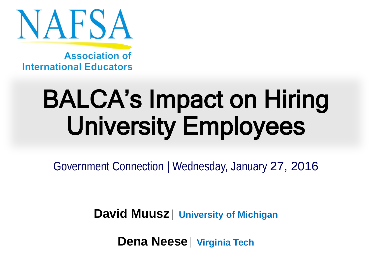

**Association of International Educators** 

# BALCA's Impact on Hiring University Employees

Government Connection | Wednesday, January 27, 2016

**David Muusz**| **University of Michigan**

**Dena Neese**| **Virginia Tech**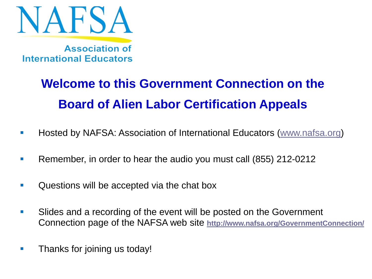

**Association of International Educators** 

#### **Welcome to this Government Connection on the Board of Alien Labor Certification Appeals**

- **Hosted by NAFSA: Association of International Educators [\(www.nafsa.org\)](http://www.nafsa.org/)**
- **Remember, in order to hear the audio you must call (855) 212-0212**
- **Questions will be accepted via the chat box**
- **Slides and a recording of the event will be posted on the Government** Connection page of the NAFSA web site **<http://www.nafsa.org/GovernmentConnection/>**
- **Thanks for joining us today!**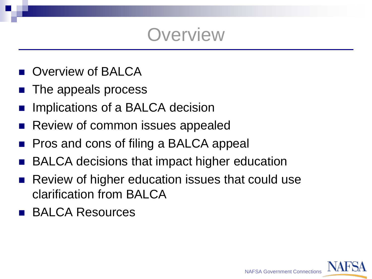#### **Overview**

- **D** Overview of BALCA
- The appeals process
- Implications of a BALCA decision
- Review of common issues appealed
- Pros and cons of filing a BALCA appeal
- BALCA decisions that impact higher education
- Review of higher education issues that could use clarification from BALCA
- **BALCA Resources**

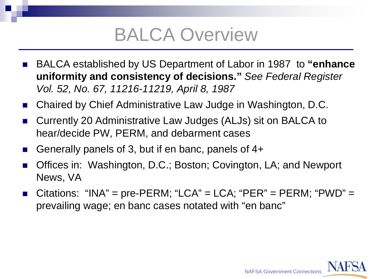### BALCA Overview

- BALCA established by US Department of Labor in 1987 to "enhance **uniformity and consistency of decisions."** *See Federal Register Vol. 52, No. 67, 11216-11219, April 8, 1987*
- Chaired by Chief Administrative Law Judge in Washington, D.C.
- Currently 20 Administrative Law Judges (ALJs) sit on BALCA to hear/decide PW, PERM, and debarment cases
- Generally panels of 3, but if en banc, panels of 4+
- Offices in: Washington, D.C.; Boston; Covington, LA; and Newport News, VA
- Citations: "INA" = pre-PERM; "LCA" = LCA; "PER" = PERM; "PWD" = prevailing wage; en banc cases notated with "en banc"

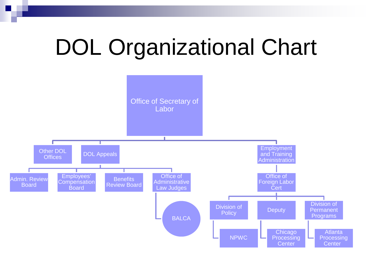# DOL Organizational Chart

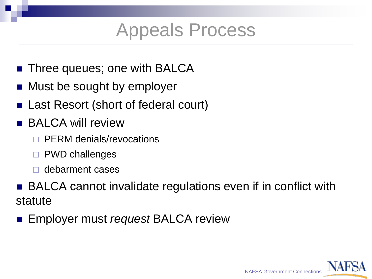#### Appeals Process

- Three queues; one with BALCA
- Must be sought by employer
- Last Resort (short of federal court)
- BALCA will review
	- PERM denials/revocations
	- PWD challenges
	- debarment cases
- BALCA cannot invalidate regulations even if in conflict with statute
- Employer must *request* BALCA review

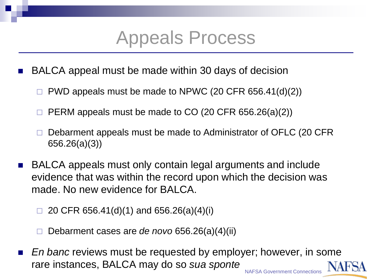#### Appeals Process

- BALCA appeal must be made within 30 days of decision
	- PWD appeals must be made to NPWC (20 CFR 656.41(d)(2))
	- PERM appeals must be made to CO (20 CFR 656.26(a)(2))
	- Debarment appeals must be made to Administrator of OFLC (20 CFR 656.26(a)(3))
- BALCA appeals must only contain legal arguments and include evidence that was within the record upon which the decision was made. No new evidence for BALCA.
	- 20 CFR 656.41(d)(1) and 656.26(a)(4)(i)
	- Debarment cases are *de novo* 656.26(a)(4)(ii)
- *En banc* reviews must be requested by employer; however, in some rare instances, BALCA may do so *sua sponte* NAFSA Government Connections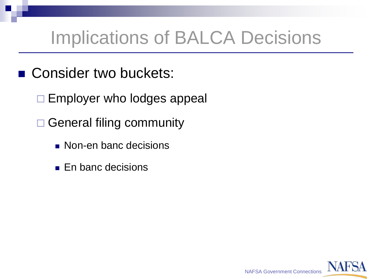# Implications of BALCA Decisions

- Consider two buckets:
	- $\Box$  Employer who lodges appeal
	- □ General filing community
		- **Non-en banc decisions**
		- **En banc decisions**

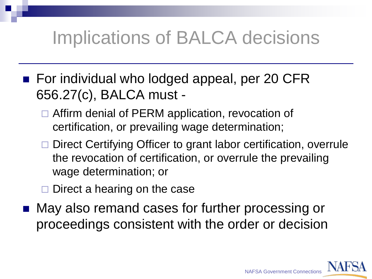## Implications of BALCA decisions

- For individual who lodged appeal, per 20 CFR 656.27(c), BALCA must -
	- □ Affirm denial of PERM application, revocation of certification, or prevailing wage determination;
	- □ Direct Certifying Officer to grant labor certification, overrule the revocation of certification, or overrule the prevailing wage determination; or
	- Direct a hearing on the case
- May also remand cases for further processing or proceedings consistent with the order or decision

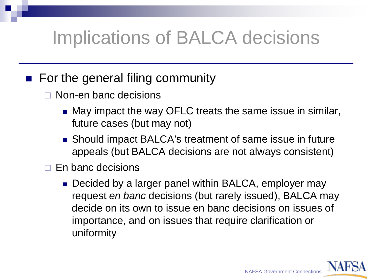# Implications of BALCA decisions

#### ■ For the general filing community

- □ Non-en banc decisions
	- May impact the way OFLC treats the same issue in similar, future cases (but may not)
	- Should impact BALCA's treatment of same issue in future appeals (but BALCA decisions are not always consistent)
- $\Box$  En banc decisions
	- Decided by a larger panel within BALCA, employer may request *en banc* decisions (but rarely issued), BALCA may decide on its own to issue en banc decisions on issues of importance, and on issues that require clarification or uniformity

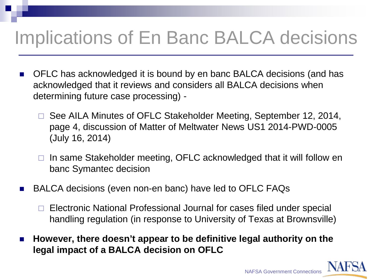## Implications of En Banc BALCA decisions

- OFLC has acknowledged it is bound by en banc BALCA decisions (and has acknowledged that it reviews and considers all BALCA decisions when determining future case processing) -
	- □ See AILA Minutes of OFLC Stakeholder Meeting, September 12, 2014, page 4, discussion of Matter of Meltwater News US1 2014-PWD-0005 (July 16, 2014)
	- $\Box$  In same Stakeholder meeting, OFLC acknowledged that it will follow en banc Symantec decision
- BALCA decisions (even non-en banc) have led to OFLC FAQs
	- □ Electronic National Professional Journal for cases filed under special handling regulation (in response to University of Texas at Brownsville)
- **However, there doesn't appear to be definitive legal authority on the legal impact of a BALCA decision on OFLC**

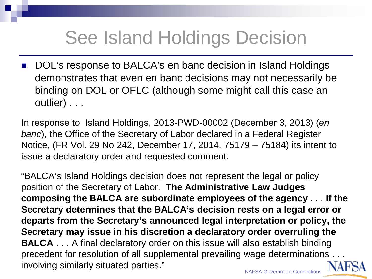# See Island Holdings Decision

DOL's response to BALCA's en banc decision in Island Holdings demonstrates that even en banc decisions may not necessarily be binding on DOL or OFLC (although some might call this case an outlier) . . .

In response to Island Holdings, 2013-PWD-00002 (December 3, 2013) (*en banc*), the Office of the Secretary of Labor declared in a Federal Register Notice, (FR Vol. 29 No 242, December 17, 2014, 75179 – 75184) its intent to issue a declaratory order and requested comment:

"BALCA's Island Holdings decision does not represent the legal or policy position of the Secretary of Labor. **The Administrative Law Judges composing the BALCA are subordinate employees of the agency** . . . **If the Secretary determines that the BALCA's decision rests on a legal error or departs from the Secretary's announced legal interpretation or policy, the Secretary may issue in his discretion a declaratory order overruling the BALCA** . . . A final declaratory order on this issue will also establish binding precedent for resolution of all supplemental prevailing wage determinations . . . involving similarly situated parties."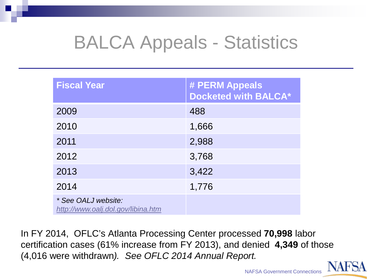## BALCA Appeals - Statistics

| <b>Fiscal Year</b>                                        | # PERM Appeals<br><b>Docketed with BALCA*</b> |
|-----------------------------------------------------------|-----------------------------------------------|
| 2009                                                      | 488                                           |
| 2010                                                      | 1,666                                         |
| 2011                                                      | 2,988                                         |
| 2012                                                      | 3,768                                         |
| 2013                                                      | 3,422                                         |
| 2014                                                      | 1,776                                         |
| * See OALJ website:<br>http://www.oalj.dol.gov/libina.htm |                                               |

In FY 2014, OFLC's Atlanta Processing Center processed **70,998** labor certification cases (61% increase from FY 2013), and denied **4,349** of those (4,016 were withdrawn*). See OFLC 2014 Annual Report.*



NAFSA Government Connections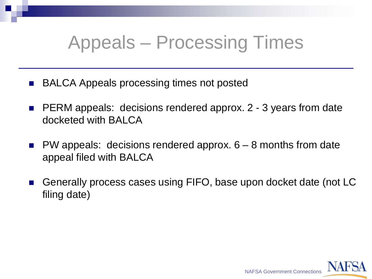### Appeals – Processing Times

- BALCA Appeals processing times not posted
- PERM appeals: decisions rendered approx. 2 3 years from date docketed with BALCA
- PW appeals: decisions rendered approx. 6 8 months from date appeal filed with BALCA
- Generally process cases using FIFO, base upon docket date (not LC filing date)

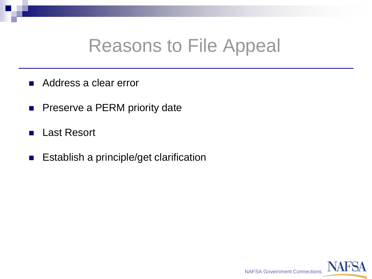#### Reasons to File Appeal

- Address a clear error
- **Preserve a PERM priority date**
- Last Resort
- **Establish a principle/get clarification**

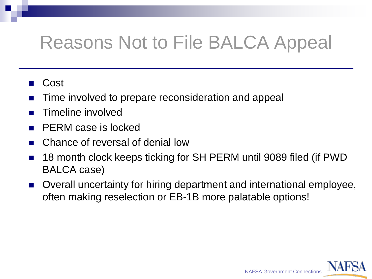## Reasons Not to File BALCA Appeal

#### Cost

- Time involved to prepare reconsideration and appeal
- Timeline involved
- PERM case is locked
- Chance of reversal of denial low
- 18 month clock keeps ticking for SH PERM until 9089 filed (if PWD BALCA case)
- Overall uncertainty for hiring department and international employee, often making reselection or EB-1B more palatable options!

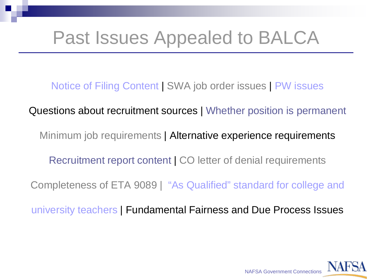### Past Issues Appealed to BALCA

Notice of Filing Content | SWA job order issues | PW issues

Questions about recruitment sources | Whether position is permanent

Minimum job requirements | Alternative experience requirements

Recruitment report content | CO letter of denial requirements

Completeness of ETA 9089 | "As Qualified" standard for college and

university teachers | Fundamental Fairness and Due Process Issues

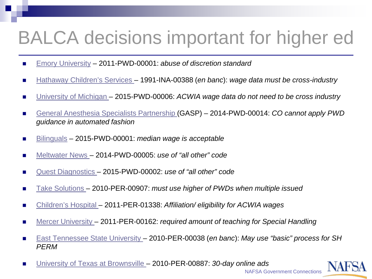## BALCA decisions important for higher ed

- [Emory University](http://www.oalj.dol.gov/Decisions/ALJ/PWD/2011/In_re_EMORY_UNIVERSITY_2011PWD00001_(FEB_27_2012)_072853_CADEC_SD.PDF) 2011-PWD-00001: *abuse of discretion standard*
- [Hathaway Children's Services –](http://www.oalj.dol.gov/PUBLIC/INA/DECISIONS/BALCA_DECISIONS/INA/1991_00388.INA.PDF) 1991-INA-00388 (*en banc*): wage data must be cross-industry
- [University of Michigan –](http://www.oalj.dol.gov/Decisions/ALJ/PWD/2015/EMPLOYMENT_AND_TRAIN_v_UNIVERSITY_OF_MICHIG_2015PWD00006_(NOV_18_2015)_130018_CADEC_SD.PDF) 2015-PWD-00006: *ACWIA wage data do not need to be cross industry*
- [General Anesthesia Specialists Partnership \(](http://www.oalj.dol.gov/Decisions/ALJ/PWD/2014/In_re_GENERAL_ANESTHESIA_S_2014PWD00014_(SEP_12_2014)_081956_CADEC_SD.PDF)GASP) 2014-PWD-00014: *CO cannot apply PWD guidance in automated fashion*
- [Bilinguals](http://www.oalj.dol.gov/Decisions/ALJ/PWD/2015/EMPLOYMENT_AND_TRAIN_v_BILINGUALS_INC_DBA_A_2015PWD00001_(AUG_03_2015)_103352_CADEC_SD.PDF) 2015-PWD-00001: *median wage is acceptable*
- [Meltwater News](http://www.oalj.dol.gov/Decisions/ALJ/PWD/2014/In_re_MELTWATER_NEWS_US1_I_2014PWD00005_(JUL_16_2014)_135126_CADEC_SD.PDF)  2014-PWD-00005: *use of "all other" code*
- [Quest Diagnostics](http://www.oalj.dol.gov/Decisions/ALJ/PWD/2015/In_re_QUEST_DIAGNOSTICS_IN_2015PWD00002_(FEB_12_2015)_132321_CADEC_SD.PDF)  2015-PWD-00002: *use of "all other" code*
- [Take Solutions](http://www.oalj.dol.gov/Decisions/ALJ/PER/2010/TAKE_SOLUTIONS_v_PAWAR_SANDESH_2010PER00907_(APR_28_2011)_083332_CADEC_SD.PDF)  2010-PER-00907: *must use higher of PWDs when multiple issued*
- [Children's Hospital –](http://www.oalj.dol.gov/Decisions/ALJ/PER/2011/In_re_CHILDREN-S_HOSPITAL__2011PER01338_(NOV_15_2011)_083956_CADEC_SD.PDF%23search=children) 2011-PER-01338: Affiliation/ eligibility for ACWIA wages
- [Mercer University –](http://www.oalj.dol.gov/Decisions/ALJ/PER/2011/In_re_MERCER_UNIVERSITY_2011PER00162_(MAR_06_2012)_165852_CADEC_SD.PDF) 2011-PER-00162: *required amount of teaching for Special Handling*
- [East Tennessee State University –](http://www.oalj.dol.gov/Decisions/ALJ/PER/2010/EAST_TENNESSEE_STATE_v_MWINYELLE_JEROME_2010PER00038_(APR_18_2011)_113133_CADEC_SD.PDF) 2010-PER-00038 (*en banc*): *May use "basic" process for SH PERM*
- [University of Texas at Brownsville –](http://www.oalj.dol.gov/Decisions/ALJ/PER/2010/In_re_UN_OF_TX_AT_BROWNSVI_2010PER00887_(JUL_20_2011)_081027_CADEC_SD.PDF%23search=brownsville) 2010-PER-00887: *30-day online ads*



NAFSA Government Connections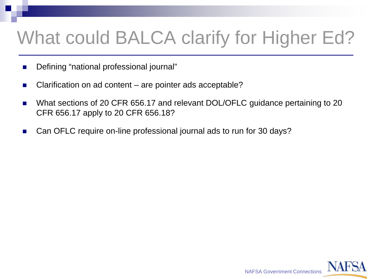# What could BALCA clarify for Higher Ed?

- **Defining "national professional journal"**
- Clarification on ad content are pointer ads acceptable?
- What sections of 20 CFR 656.17 and relevant DOL/OFLC guidance pertaining to 20 CFR 656.17 apply to 20 CFR 656.18?
- Can OFLC require on-line professional journal ads to run for 30 days?

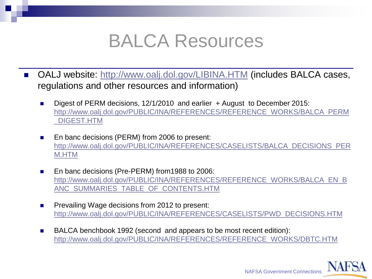#### BALCA Resources

- OALJ website: <http://www.oalj.dol.gov/LIBINA.HTM> (includes BALCA cases, regulations and other resources and information)
	- Digest of PERM decisions, 12/1/2010 and earlier + August to December 2015: [http://www.oalj.dol.gov/PUBLIC/INA/REFERENCES/REFERENCE\\_WORKS/BALCA\\_PERM](http://www.oalj.dol.gov/PUBLIC/INA/REFERENCES/REFERENCE_WORKS/BALCA_PERM_DIGEST.HTM) \_DIGEST.HTM
	- En banc decisions (PERM) from 2006 to present: [http://www.oalj.dol.gov/PUBLIC/INA/REFERENCES/CASELISTS/BALCA\\_DECISIONS\\_PER](http://www.oalj.dol.gov/PUBLIC/INA/REFERENCES/CASELISTS/BALCA_DECISIONS_PERM.HTM) M.HTM
	- En banc decisions (Pre-PERM) from 1988 to 2006: [http://www.oalj.dol.gov/PUBLIC/INA/REFERENCES/REFERENCE\\_WORKS/BALCA\\_EN\\_B](http://www.oalj.dol.gov/PUBLIC/INA/REFERENCES/REFERENCE_WORKS/BALCA_EN_BANC_SUMMARIES_TABLE_OF_CONTENTS.HTM) ANC\_SUMMARIES\_TABLE\_OF\_CONTENTS.HTM
	- **Prevailing Wage decisions from 2012 to present:** [http://www.oalj.dol.gov/PUBLIC/INA/REFERENCES/CASELISTS/PWD\\_DECISIONS.HTM](http://www.oalj.dol.gov/PUBLIC/INA/REFERENCES/CASELISTS/PWD_DECISIONS.HTM)
	- BALCA benchbook 1992 (second and appears to be most recent edition): [http://www.oalj.dol.gov/PUBLIC/INA/REFERENCES/REFERENCE\\_WORKS/DBTC.HTM](http://www.oalj.dol.gov/PUBLIC/INA/REFERENCES/REFERENCE_WORKS/DBTC.HTM)

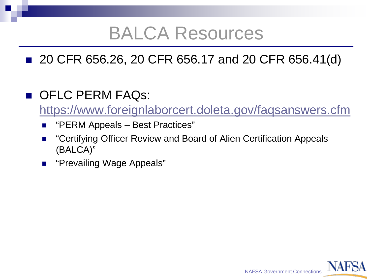#### BALCA Resources

#### ■ 20 CFR 656.26, 20 CFR 656.17 and 20 CFR 656.41(d)

#### OFLC PERM FAQS:

<https://www.foreignlaborcert.doleta.gov/faqsanswers.cfm>

- "PERM Appeals Best Practices"
- "Certifying Officer Review and Board of Alien Certification Appeals (BALCA)"
- "Prevailing Wage Appeals"

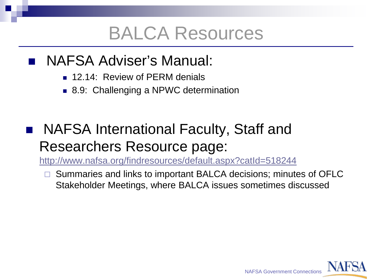#### BALCA Resources

- **NAFSA Adviser's Manual:** 
	- **12.14: Review of PERM denials**
	- 8.9: Challenging a NPWC determination

#### NAFSA International Faculty, Staff and Researchers Resource page:

<http://www.nafsa.org/findresources/default.aspx?catId=518244>

 Summaries and links to important BALCA decisions; minutes of OFLC Stakeholder Meetings, where BALCA issues sometimes discussed